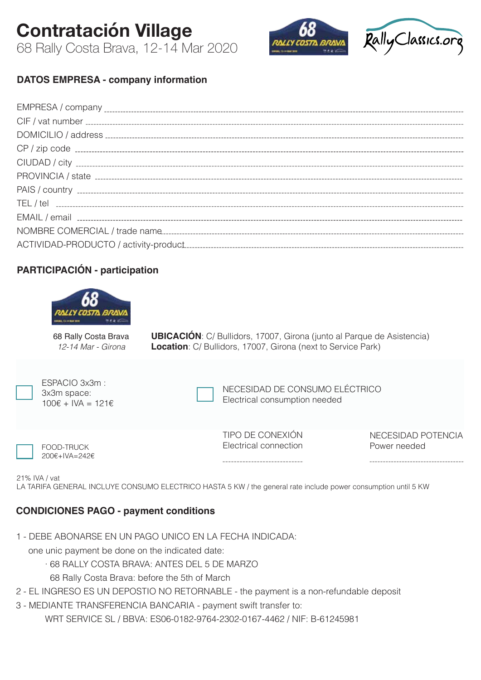**Contratación Village**  68 Rally Costa Brava, 12-14 Mar 2020



# **DATOS EMPRESA - company information**

### **PARTICIPACIÓN - participation**



68 Rally Costa Brava *12-14 Mar - Girona*

**UBICACIÓN**: C/ Bullidors, 17007, Girona (junto al Parque de Asistencia) **Location**: C/ Bullidors, 17007, Girona (next to Service Park)

| ESPACIO 3x3m :<br>3x3m space:<br>$100€ + IVA = 121€$ | NECESIDAD DE CONSUMO ELÉCTRICO<br>Electrical consumption needed |                                    |
|------------------------------------------------------|-----------------------------------------------------------------|------------------------------------|
| FOOD-TRUCK<br>200€+IVA=242€                          | TIPO DE CONEXIÓN<br>Electrical connection                       | NECESIDAD POTENCIA<br>Power needed |

21% IVA / vat

LA TARIFA GENERAL INCLUYE CONSUMO ELECTRICO HASTA 5 KW / the general rate include power consumption until 5 KW

### **CONDICIONES PAGO - payment conditions**

1 - DEBE ABONARSE EN UN PAGO UNICO EN LA FECHA INDICADA:

one unic payment be done on the indicated date:

· 68 RALLY COSTA BRAVA: ANTES DEL 5 DE MARZO

68 Rally Costa Brava: before the 5th of March

- 2 EL INGRESO ES UN DEPOSTIO NO RETORNABLE the payment is a non-refundable deposit
- 3 MEDIANTE TRANSFERENCIA BANCARIA payment swift transfer to:

WRT SERVICE SL / BBVA: ES06-0182-9764-2302-0167-4462 / NIF: B-61245981